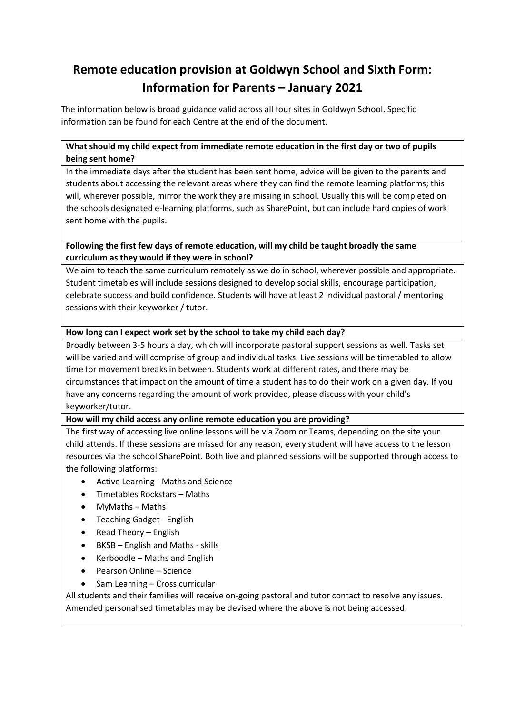# **Remote education provision at Goldwyn School and Sixth Form: Information for Parents – January 2021**

The information below is broad guidance valid across all four sites in Goldwyn School. Specific information can be found for each Centre at the end of the document.

# **What should my child expect from immediate remote education in the first day or two of pupils being sent home?**

In the immediate days after the student has been sent home, advice will be given to the parents and students about accessing the relevant areas where they can find the remote learning platforms; this will, wherever possible, mirror the work they are missing in school. Usually this will be completed on the schools designated e-learning platforms, such as SharePoint, but can include hard copies of work sent home with the pupils.

## **Following the first few days of remote education, will my child be taught broadly the same curriculum as they would if they were in school?**

We aim to teach the same curriculum remotely as we do in school, wherever possible and appropriate. Student timetables will include sessions designed to develop social skills, encourage participation, celebrate success and build confidence. Students will have at least 2 individual pastoral / mentoring sessions with their keyworker / tutor.

# **How long can I expect work set by the school to take my child each day?**

Broadly between 3-5 hours a day, which will incorporate pastoral support sessions as well. Tasks set will be varied and will comprise of group and individual tasks. Live sessions will be timetabled to allow time for movement breaks in between. Students work at different rates, and there may be circumstances that impact on the amount of time a student has to do their work on a given day. If you have any concerns regarding the amount of work provided, please discuss with your child's keyworker/tutor.

# **How will my child access any online remote education you are providing?**

The first way of accessing live online lessons will be via Zoom or Teams, depending on the site your child attends. If these sessions are missed for any reason, every student will have access to the lesson resources via the school SharePoint. Both live and planned sessions will be supported through access to the following platforms:

- Active Learning Maths and Science
- Timetables Rockstars Maths
- MyMaths Maths
- Teaching Gadget English
- Read Theory English
- BKSB English and Maths skills
- Kerboodle Maths and English
- Pearson Online Science
- Sam Learning Cross curricular

All students and their families will receive on-going pastoral and tutor contact to resolve any issues. Amended personalised timetables may be devised where the above is not being accessed.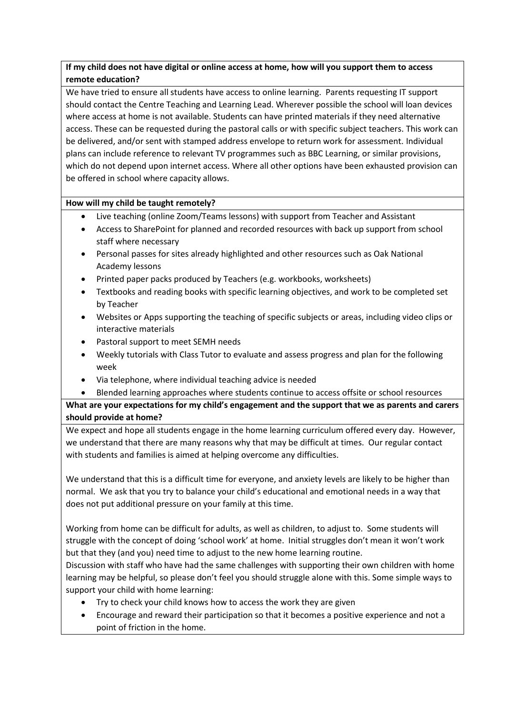# **If my child does not have digital or online access at home, how will you support them to access remote education?**

We have tried to ensure all students have access to online learning. Parents requesting IT support should contact the Centre Teaching and Learning Lead. Wherever possible the school will loan devices where access at home is not available. Students can have printed materials if they need alternative access. These can be requested during the pastoral calls or with specific subject teachers. This work can be delivered, and/or sent with stamped address envelope to return work for assessment. Individual plans can include reference to relevant TV programmes such as BBC Learning, or similar provisions, which do not depend upon internet access. Where all other options have been exhausted provision can be offered in school where capacity allows.

# **How will my child be taught remotely?**

- Live teaching (online Zoom/Teams lessons) with support from Teacher and Assistant
- Access to SharePoint for planned and recorded resources with back up support from school staff where necessary
- Personal passes for sites already highlighted and other resources such as Oak National Academy lessons
- Printed paper packs produced by Teachers (e.g. workbooks, worksheets)
- Textbooks and reading books with specific learning objectives, and work to be completed set by Teacher
- Websites or Apps supporting the teaching of specific subjects or areas, including video clips or interactive materials
- Pastoral support to meet SEMH needs
- Weekly tutorials with Class Tutor to evaluate and assess progress and plan for the following week
- Via telephone, where individual teaching advice is needed
- Blended learning approaches where students continue to access offsite or school resources

**What are your expectations for my child's engagement and the support that we as parents and carers should provide at home?**

We expect and hope all students engage in the home learning curriculum offered every day. However, we understand that there are many reasons why that may be difficult at times. Our regular contact with students and families is aimed at helping overcome any difficulties.

We understand that this is a difficult time for everyone, and anxiety levels are likely to be higher than normal. We ask that you try to balance your child's educational and emotional needs in a way that does not put additional pressure on your family at this time.

Working from home can be difficult for adults, as well as children, to adjust to. Some students will struggle with the concept of doing 'school work' at home. Initial struggles don't mean it won't work but that they (and you) need time to adjust to the new home learning routine.

Discussion with staff who have had the same challenges with supporting their own children with home learning may be helpful, so please don't feel you should struggle alone with this. Some simple ways to support your child with home learning:

- Try to check your child knows how to access the work they are given
- Encourage and reward their participation so that it becomes a positive experience and not a point of friction in the home.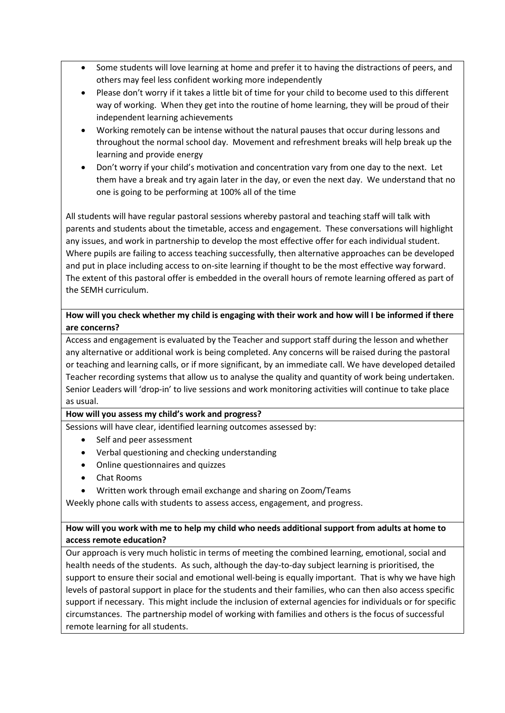- Some students will love learning at home and prefer it to having the distractions of peers, and others may feel less confident working more independently
- Please don't worry if it takes a little bit of time for your child to become used to this different way of working. When they get into the routine of home learning, they will be proud of their independent learning achievements
- Working remotely can be intense without the natural pauses that occur during lessons and throughout the normal school day. Movement and refreshment breaks will help break up the learning and provide energy
- Don't worry if your child's motivation and concentration vary from one day to the next. Let them have a break and try again later in the day, or even the next day. We understand that no one is going to be performing at 100% all of the time

All students will have regular pastoral sessions whereby pastoral and teaching staff will talk with parents and students about the timetable, access and engagement. These conversations will highlight any issues, and work in partnership to develop the most effective offer for each individual student. Where pupils are failing to access teaching successfully, then alternative approaches can be developed and put in place including access to on-site learning if thought to be the most effective way forward. The extent of this pastoral offer is embedded in the overall hours of remote learning offered as part of the SEMH curriculum.

# **How will you check whether my child is engaging with their work and how will I be informed if there are concerns?**

Access and engagement is evaluated by the Teacher and support staff during the lesson and whether any alternative or additional work is being completed. Any concerns will be raised during the pastoral or teaching and learning calls, or if more significant, by an immediate call. We have developed detailed Teacher recording systems that allow us to analyse the quality and quantity of work being undertaken. Senior Leaders will 'drop-in' to live sessions and work monitoring activities will continue to take place as usual.

#### **How will you assess my child's work and progress?**

Sessions will have clear, identified learning outcomes assessed by:

- Self and peer assessment
- Verbal questioning and checking understanding
- Online questionnaires and quizzes
- Chat Rooms
- Written work through email exchange and sharing on Zoom/Teams

Weekly phone calls with students to assess access, engagement, and progress.

# **How will you work with me to help my child who needs additional support from adults at home to access remote education?**

Our approach is very much holistic in terms of meeting the combined learning, emotional, social and health needs of the students. As such, although the day-to-day subject learning is prioritised, the support to ensure their social and emotional well-being is equally important. That is why we have high levels of pastoral support in place for the students and their families, who can then also access specific support if necessary. This might include the inclusion of external agencies for individuals or for specific circumstances. The partnership model of working with families and others is the focus of successful remote learning for all students.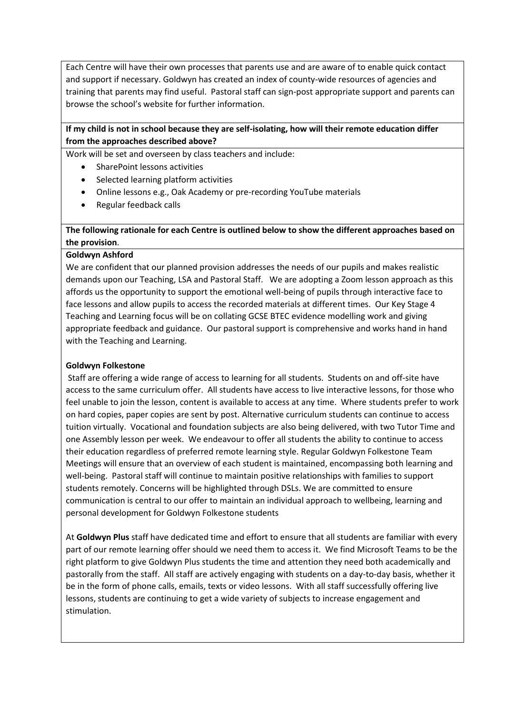Each Centre will have their own processes that parents use and are aware of to enable quick contact and support if necessary. Goldwyn has created an index of county-wide resources of agencies and training that parents may find useful. Pastoral staff can sign-post appropriate support and parents can browse the school's website for further information.

## **If my child is not in school because they are self-isolating, how will their remote education differ from the approaches described above?**

Work will be set and overseen by class teachers and include:

- SharePoint lessons activities
- Selected learning platform activities
- Online lessons e.g., Oak Academy or pre-recording YouTube materials
- Regular feedback calls

## **The following rationale for each Centre is outlined below to show the different approaches based on the provision**.

#### **Goldwyn Ashford**

We are confident that our planned provision addresses the needs of our pupils and makes realistic demands upon our Teaching, LSA and Pastoral Staff. We are adopting a Zoom lesson approach as this affords us the opportunity to support the emotional well-being of pupils through interactive face to face lessons and allow pupils to access the recorded materials at different times. Our Key Stage 4 Teaching and Learning focus will be on collating GCSE BTEC evidence modelling work and giving appropriate feedback and guidance. Our pastoral support is comprehensive and works hand in hand with the Teaching and Learning.

#### **Goldwyn Folkestone**

Staff are offering a wide range of access to learning for all students. Students on and off-site have access to the same curriculum offer. All students have access to live interactive lessons, for those who feel unable to join the lesson, content is available to access at any time. Where students prefer to work on hard copies, paper copies are sent by post. Alternative curriculum students can continue to access tuition virtually. Vocational and foundation subjects are also being delivered, with two Tutor Time and one Assembly lesson per week. We endeavour to offer all students the ability to continue to access their education regardless of preferred remote learning style. Regular Goldwyn Folkestone Team Meetings will ensure that an overview of each student is maintained, encompassing both learning and well-being. Pastoral staff will continue to maintain positive relationships with families to support students remotely. Concerns will be highlighted through DSLs. We are committed to ensure communication is central to our offer to maintain an individual approach to wellbeing, learning and personal development for Goldwyn Folkestone students

At **Goldwyn Plus** staff have dedicated time and effort to ensure that all students are familiar with every part of our remote learning offer should we need them to access it. We find Microsoft Teams to be the right platform to give Goldwyn Plus students the time and attention they need both academically and pastorally from the staff. All staff are actively engaging with students on a day-to-day basis, whether it be in the form of phone calls, emails, texts or video lessons. With all staff successfully offering live lessons, students are continuing to get a wide variety of subjects to increase engagement and stimulation.